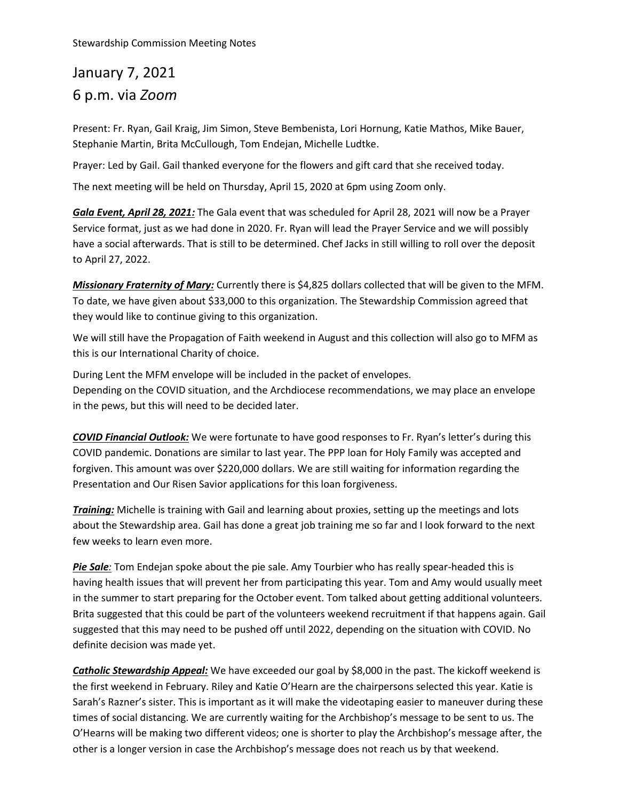## January 7, 2021 6 p.m. via *Zoom*

Present: Fr. Ryan, Gail Kraig, Jim Simon, Steve Bembenista, Lori Hornung, Katie Mathos, Mike Bauer, Stephanie Martin, Brita McCullough, Tom Endejan, Michelle Ludtke.

Prayer: Led by Gail. Gail thanked everyone for the flowers and gift card that she received today.

The next meeting will be held on Thursday, April 15, 2020 at 6pm using Zoom only.

*Gala Event, April 28, 2021:* The Gala event that was scheduled for April 28, 2021 will now be a Prayer Service format, just as we had done in 2020. Fr. Ryan will lead the Prayer Service and we will possibly have a social afterwards. That is still to be determined. Chef Jacks in still willing to roll over the deposit to April 27, 2022.

*Missionary Fraternity of Mary:* Currently there is \$4,825 dollars collected that will be given to the MFM. To date, we have given about \$33,000 to this organization. The Stewardship Commission agreed that they would like to continue giving to this organization.

We will still have the Propagation of Faith weekend in August and this collection will also go to MFM as this is our International Charity of choice.

During Lent the MFM envelope will be included in the packet of envelopes. Depending on the COVID situation, and the Archdiocese recommendations, we may place an envelope in the pews, but this will need to be decided later.

*COVID Financial Outlook:* We were fortunate to have good responses to Fr. Ryan's letter's during this COVID pandemic. Donations are similar to last year. The PPP loan for Holy Family was accepted and forgiven. This amount was over \$220,000 dollars. We are still waiting for information regarding the Presentation and Our Risen Savior applications for this loan forgiveness.

*Training:* Michelle is training with Gail and learning about proxies, setting up the meetings and lots about the Stewardship area. Gail has done a great job training me so far and I look forward to the next few weeks to learn even more.

*Pie Sale:* Tom Endejan spoke about the pie sale. Amy Tourbier who has really spear-headed this is having health issues that will prevent her from participating this year. Tom and Amy would usually meet in the summer to start preparing for the October event. Tom talked about getting additional volunteers. Brita suggested that this could be part of the volunteers weekend recruitment if that happens again. Gail suggested that this may need to be pushed off until 2022, depending on the situation with COVID. No definite decision was made yet.

*Catholic Stewardship Appeal:* We have exceeded our goal by \$8,000 in the past. The kickoff weekend is the first weekend in February. Riley and Katie O'Hearn are the chairpersons selected this year. Katie is Sarah's Razner's sister. This is important as it will make the videotaping easier to maneuver during these times of social distancing. We are currently waiting for the Archbishop's message to be sent to us. The O'Hearns will be making two different videos; one is shorter to play the Archbishop's message after, the other is a longer version in case the Archbishop's message does not reach us by that weekend.